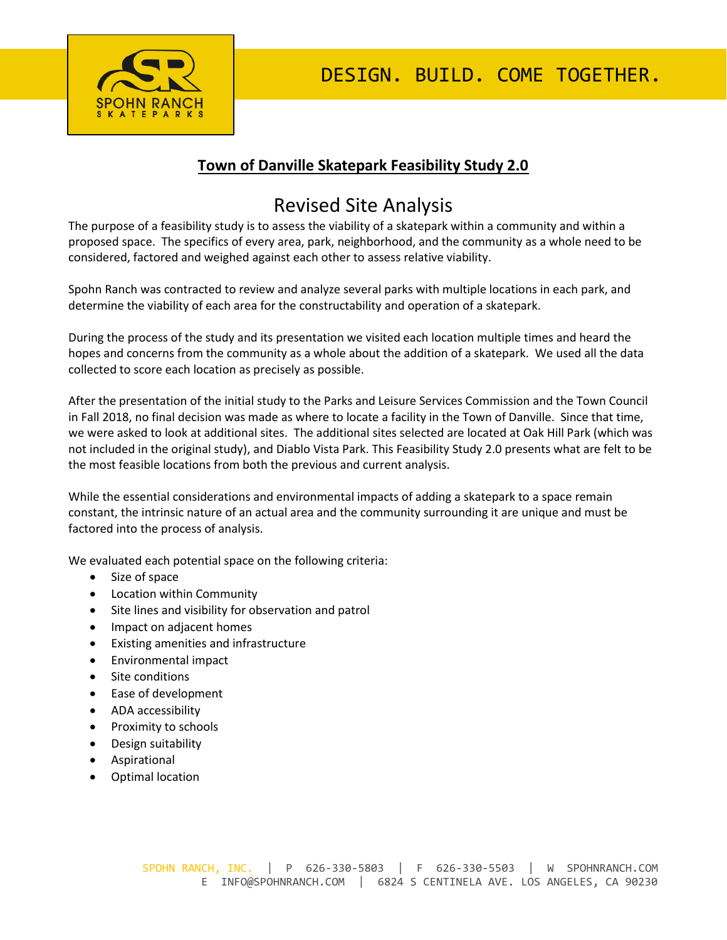

# **Town of Danville Skatepark Feasibility Study 2.0**

# Revised Site Analysis

The purpose of a feasibility study is to assess the viability of a skatepark within a community and within a proposed space. The specifics of every area, park, neighborhood, and the community as a whole need to be considered, factored and weighed against each other to assess relative viability.

Spohn Ranch was contracted to review and analyze several parks with multiple locations in each park, and determine the viability of each area for the constructability and operation of a skatepark.

During the process of the study and its presentation we visited each location multiple times and heard the hopes and concerns from the community as a whole about the addition of a skatepark. We used all the data collected to score each location as precisely as possible.

After the presentation of the initial study to the Parks and Leisure Services Commission and the Town Council in Fall 2018, no final decision was made as where to locate a facility in the Town of Danville. Since that time, we were asked to look at additional sites. The additional sites selected are located at Oak Hill Park (which was not included in the original study), and Diablo Vista Park. This Feasibility Study 2.0 presents what are felt to be the most feasible locations from both the previous and current analysis.

While the essential considerations and environmental impacts of adding a skatepark to a space remain constant, the intrinsic nature of an actual area and the community surrounding it are unique and must be factored into the process of analysis.

We evaluated each potential space on the following criteria:

- Size of space
- Location within Community
- Site lines and visibility for observation and patrol
- Impact on adjacent homes
- Existing amenities and infrastructure
- Environmental impact
- Site conditions
- Ease of development
- ADA accessibility
- Proximity to schools
- Design suitability
- Aspirational
- Optimal location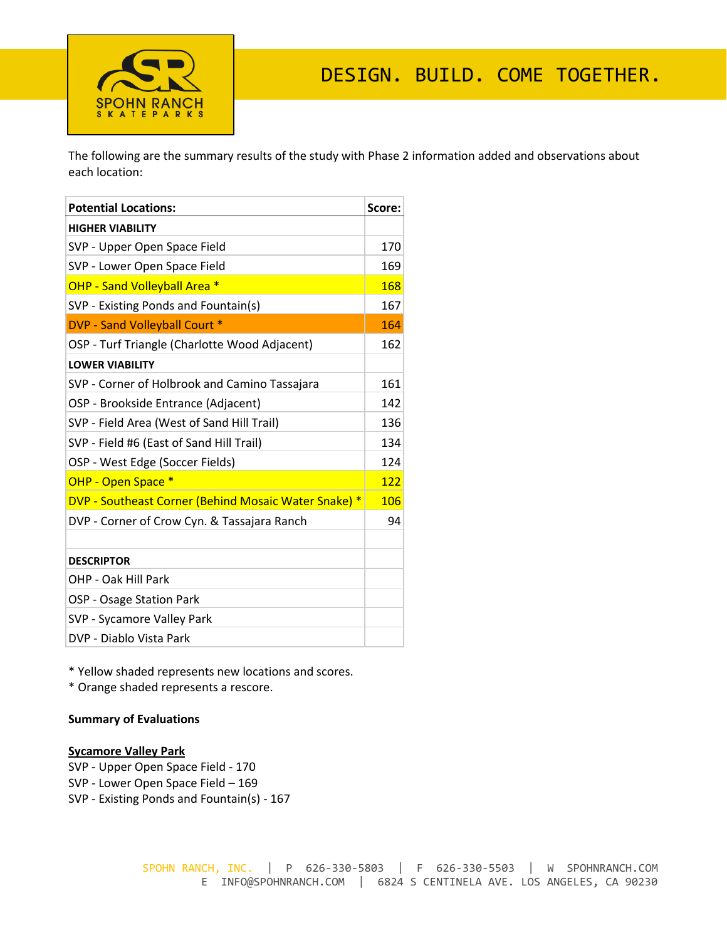

The following are the summary results of the study with Phase 2 information added and observations about each location:

| <b>Potential Locations:</b>                          | Score: |
|------------------------------------------------------|--------|
| <b>HIGHER VIABILITY</b>                              |        |
| SVP - Upper Open Space Field                         | 170    |
| SVP - Lower Open Space Field                         | 169    |
| OHP - Sand Volleyball Area *                         | 168    |
| SVP - Existing Ponds and Fountain(s)                 | 167    |
| DVP - Sand Volleyball Court *                        | 164    |
| OSP - Turf Triangle (Charlotte Wood Adjacent)        | 162    |
| <b>LOWER VIABILITY</b>                               |        |
| SVP - Corner of Holbrook and Camino Tassajara        | 161    |
| OSP - Brookside Entrance (Adjacent)                  | 142    |
| SVP - Field Area (West of Sand Hill Trail)           | 136    |
| SVP - Field #6 (East of Sand Hill Trail)             | 134    |
| OSP - West Edge (Soccer Fields)                      | 124    |
| OHP - Open Space *                                   | 122    |
| DVP - Southeast Corner (Behind Mosaic Water Snake) * | 106    |
| DVP - Corner of Crow Cyn. & Tassajara Ranch          | 94     |
|                                                      |        |
| <b>DESCRIPTOR</b>                                    |        |
| OHP - Oak Hill Park                                  |        |
| OSP - Osage Station Park                             |        |
| SVP - Sycamore Valley Park                           |        |
| DVP - Diablo Vista Park                              |        |

\* Yellow shaded represents new locations and scores.

\* Orange shaded represents a rescore.

### **Summary of Evaluations**

#### **Sycamore Valley Park**

SVP - Upper Open Space Field - 170 SVP - Lower Open Space Field – 169 SVP - Existing Ponds and Fountain(s) - 167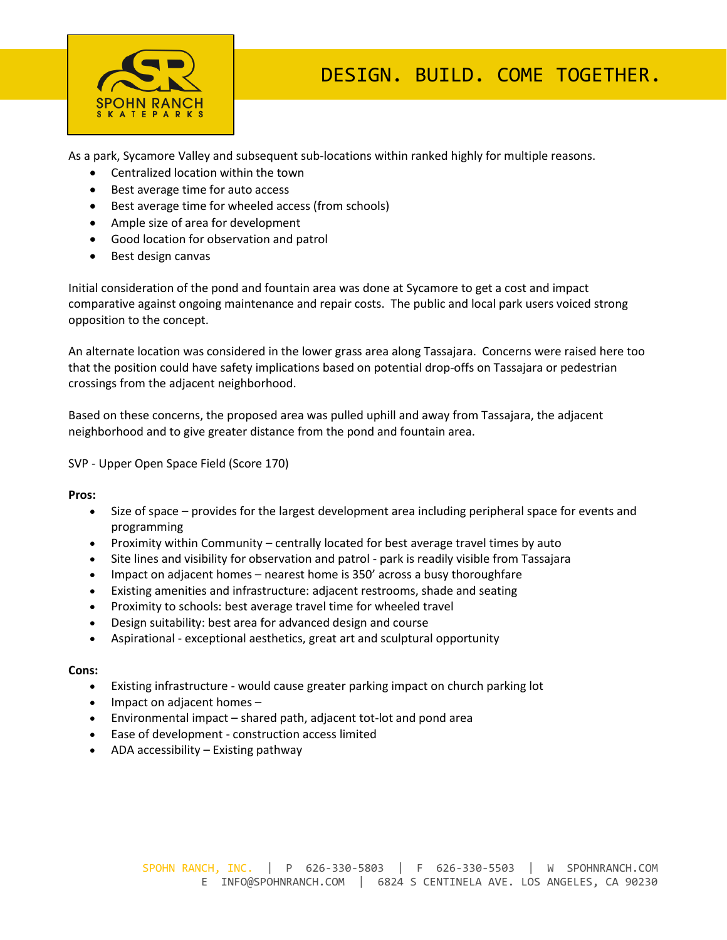

As a park, Sycamore Valley and subsequent sub-locations within ranked highly for multiple reasons.

- Centralized location within the town
- Best average time for auto access
- Best average time for wheeled access (from schools)
- Ample size of area for development
- Good location for observation and patrol
- Best design canvas

Initial consideration of the pond and fountain area was done at Sycamore to get a cost and impact comparative against ongoing maintenance and repair costs. The public and local park users voiced strong opposition to the concept.

An alternate location was considered in the lower grass area along Tassajara. Concerns were raised here too that the position could have safety implications based on potential drop-offs on Tassajara or pedestrian crossings from the adjacent neighborhood.

Based on these concerns, the proposed area was pulled uphill and away from Tassajara, the adjacent neighborhood and to give greater distance from the pond and fountain area.

SVP - Upper Open Space Field (Score 170)

**Pros:**

- Size of space provides for the largest development area including peripheral space for events and programming
- Proximity within Community centrally located for best average travel times by auto
- Site lines and visibility for observation and patrol park is readily visible from Tassajara
- Impact on adjacent homes nearest home is 350' across a busy thoroughfare
- Existing amenities and infrastructure: adjacent restrooms, shade and seating
- Proximity to schools: best average travel time for wheeled travel
- Design suitability: best area for advanced design and course
- Aspirational exceptional aesthetics, great art and sculptural opportunity

- Existing infrastructure would cause greater parking impact on church parking lot
- Impact on adjacent homes –
- Environmental impact shared path, adjacent tot-lot and pond area
- Ease of development construction access limited
- ADA accessibility Existing pathway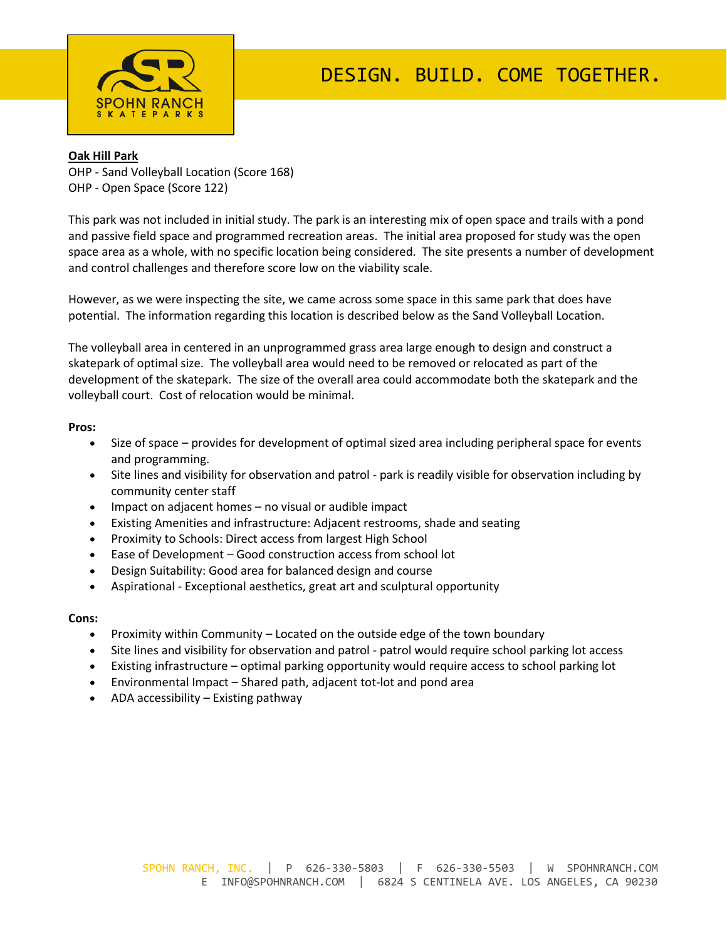

### **Oak Hill Park**

OHP - Sand Volleyball Location (Score 168) OHP - Open Space (Score 122)

This park was not included in initial study. The park is an interesting mix of open space and trails with a pond and passive field space and programmed recreation areas. The initial area proposed for study was the open space area as a whole, with no specific location being considered. The site presents a number of development and control challenges and therefore score low on the viability scale.

However, as we were inspecting the site, we came across some space in this same park that does have potential. The information regarding this location is described below as the Sand Volleyball Location.

The volleyball area in centered in an unprogrammed grass area large enough to design and construct a skatepark of optimal size. The volleyball area would need to be removed or relocated as part of the development of the skatepark. The size of the overall area could accommodate both the skatepark and the volleyball court. Cost of relocation would be minimal.

#### **Pros:**

- Size of space provides for development of optimal sized area including peripheral space for events and programming.
- Site lines and visibility for observation and patrol park is readily visible for observation including by community center staff
- Impact on adjacent homes no visual or audible impact
- Existing Amenities and infrastructure: Adjacent restrooms, shade and seating
- Proximity to Schools: Direct access from largest High School
- Ease of Development Good construction access from school lot
- Design Suitability: Good area for balanced design and course
- Aspirational Exceptional aesthetics, great art and sculptural opportunity

- Proximity within Community Located on the outside edge of the town boundary
- Site lines and visibility for observation and patrol patrol would require school parking lot access
- Existing infrastructure optimal parking opportunity would require access to school parking lot
- Environmental Impact Shared path, adjacent tot-lot and pond area
- ADA accessibility Existing pathway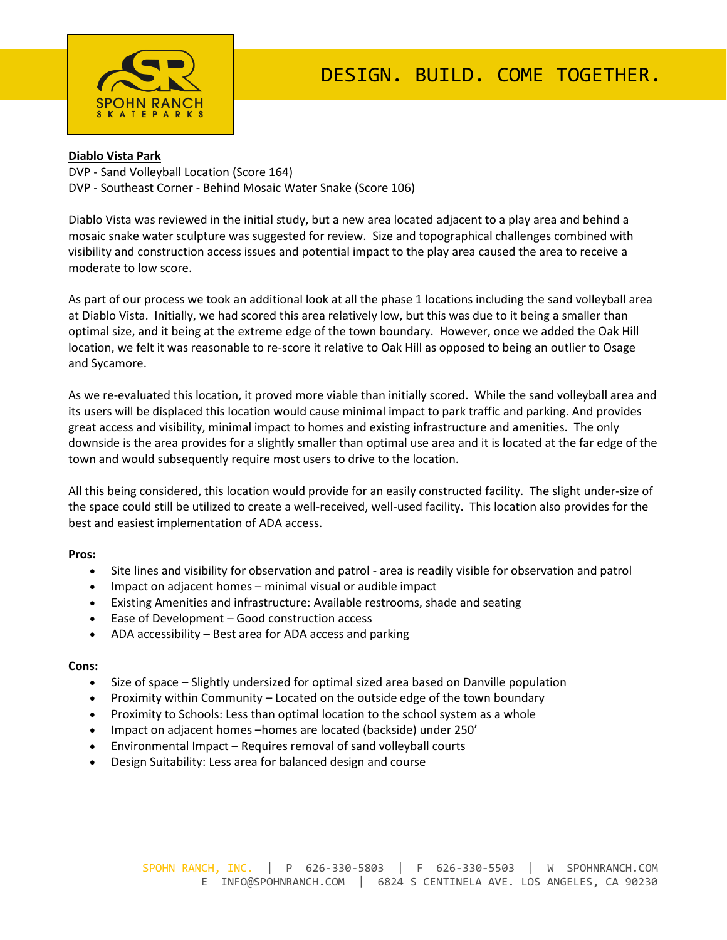

# **Diablo Vista Park**

DVP - Sand Volleyball Location (Score 164) DVP - Southeast Corner - Behind Mosaic Water Snake (Score 106)

Diablo Vista was reviewed in the initial study, but a new area located adjacent to a play area and behind a mosaic snake water sculpture was suggested for review. Size and topographical challenges combined with visibility and construction access issues and potential impact to the play area caused the area to receive a moderate to low score.

As part of our process we took an additional look at all the phase 1 locations including the sand volleyball area at Diablo Vista. Initially, we had scored this area relatively low, but this was due to it being a smaller than optimal size, and it being at the extreme edge of the town boundary. However, once we added the Oak Hill location, we felt it was reasonable to re-score it relative to Oak Hill as opposed to being an outlier to Osage and Sycamore.

As we re-evaluated this location, it proved more viable than initially scored. While the sand volleyball area and its users will be displaced this location would cause minimal impact to park traffic and parking. And provides great access and visibility, minimal impact to homes and existing infrastructure and amenities. The only downside is the area provides for a slightly smaller than optimal use area and it is located at the far edge of the town and would subsequently require most users to drive to the location.

All this being considered, this location would provide for an easily constructed facility. The slight under-size of the space could still be utilized to create a well-received, well-used facility. This location also provides for the best and easiest implementation of ADA access.

#### **Pros:**

- Site lines and visibility for observation and patrol area is readily visible for observation and patrol
- Impact on adjacent homes minimal visual or audible impact
- Existing Amenities and infrastructure: Available restrooms, shade and seating
- Ease of Development Good construction access
- ADA accessibility Best area for ADA access and parking

- Size of space Slightly undersized for optimal sized area based on Danville population
- Proximity within Community Located on the outside edge of the town boundary
- Proximity to Schools: Less than optimal location to the school system as a whole
- Impact on adjacent homes –homes are located (backside) under 250'
- Environmental Impact Requires removal of sand volleyball courts
- Design Suitability: Less area for balanced design and course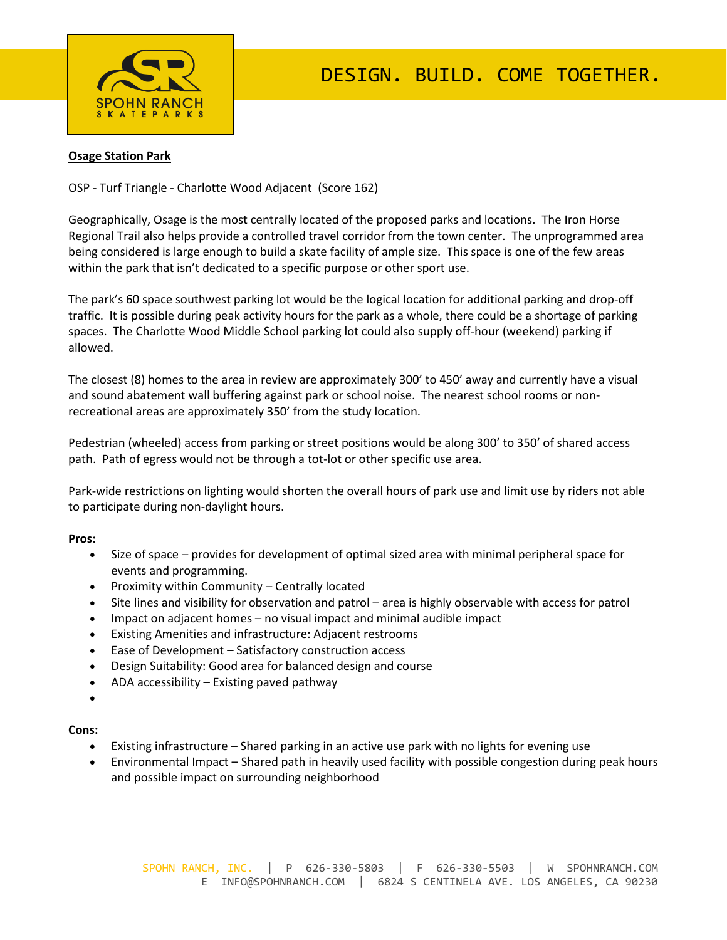

# **Osage Station Park**

OSP - Turf Triangle - Charlotte Wood Adjacent (Score 162)

Geographically, Osage is the most centrally located of the proposed parks and locations. The Iron Horse Regional Trail also helps provide a controlled travel corridor from the town center. The unprogrammed area being considered is large enough to build a skate facility of ample size. This space is one of the few areas within the park that isn't dedicated to a specific purpose or other sport use.

The park's 60 space southwest parking lot would be the logical location for additional parking and drop-off traffic. It is possible during peak activity hours for the park as a whole, there could be a shortage of parking spaces. The Charlotte Wood Middle School parking lot could also supply off-hour (weekend) parking if allowed.

The closest (8) homes to the area in review are approximately 300' to 450' away and currently have a visual and sound abatement wall buffering against park or school noise. The nearest school rooms or nonrecreational areas are approximately 350' from the study location.

Pedestrian (wheeled) access from parking or street positions would be along 300' to 350' of shared access path. Path of egress would not be through a tot-lot or other specific use area.

Park-wide restrictions on lighting would shorten the overall hours of park use and limit use by riders not able to participate during non-daylight hours.

#### **Pros:**

- Size of space provides for development of optimal sized area with minimal peripheral space for events and programming.
- Proximity within Community Centrally located
- Site lines and visibility for observation and patrol area is highly observable with access for patrol
- Impact on adjacent homes no visual impact and minimal audible impact
- Existing Amenities and infrastructure: Adjacent restrooms
- Ease of Development Satisfactory construction access
- Design Suitability: Good area for balanced design and course
- ADA accessibility Existing paved pathway
- •

- Existing infrastructure Shared parking in an active use park with no lights for evening use
- Environmental Impact Shared path in heavily used facility with possible congestion during peak hours and possible impact on surrounding neighborhood